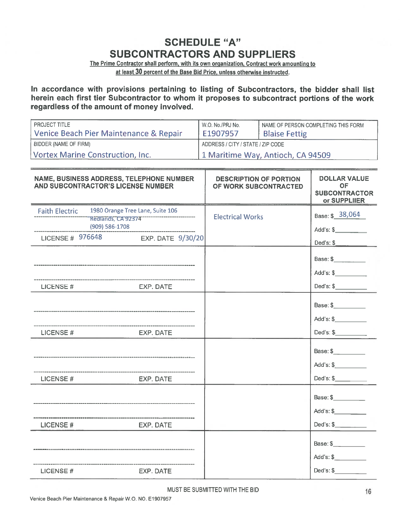## SCHEDULE "A" SUBCONTRACTORS AND SUPPLIERS

The Prime Contractor shall perform, with its own organization, Contract work amounting to at least 30 percen<sup>t</sup> of the Base Bid Price, unless otherwise instructed.

In accordance with provisions pertaining to listing of Subcontractors, the bidder shall list herein each first tier Subcontractor to whom it proposes to subcontract portions of the work regardless of the amount of money involved.

| <b>PROJECT TITLE</b>                   | W.O. No./PRJ No.                  | I NAME OF PERSON COMPLETING THIS FORM |  |
|----------------------------------------|-----------------------------------|---------------------------------------|--|
| Venice Beach Pier Maintenance & Repair | E1907957                          | <b>Blaise Fettig</b>                  |  |
| BIDDER (NAME OF FIRM)                  | ADDRESS / CITY / STATE / ZIP CODE |                                       |  |
| Vortex Marine Construction, Inc.       | 1 Maritime Way, Antioch, CA 94509 |                                       |  |

| NAME, BUSINESS ADDRESS, TELEPHONE NUMBER<br>AND SUBCONTRACTOR'S LICENSE NUMBER |                                                                                              | <b>DESCRIPTION OF PORTION</b><br>OF WORK SUBCONTRACTED | <b>DOLLAR VALUE</b><br><b>OF</b><br><b>SUBCONTRACTOR</b><br>or SUPPLIIER |
|--------------------------------------------------------------------------------|----------------------------------------------------------------------------------------------|--------------------------------------------------------|--------------------------------------------------------------------------|
| <b>Faith Electric</b><br>(909) 586-1708                                        | 1980 Orange Tree Lane, Suite 106<br>Rediands, CA 92374<br>LICENSE # 976648 EXP. DATE 9/30/20 | <b>Electrical Works</b>                                | Base: \$ 38,064<br>Add's: \$<br>Ded's: \$<br>Base: \$                    |
| LICENSE#                                                                       | EXP. DATE                                                                                    |                                                        | Add's: \$<br>Ded's: \$                                                   |
| LICENSE#                                                                       | EXP. DATE                                                                                    |                                                        | Base: \$<br>Add's: \$<br>Ded's: $\frac{1}{2}$                            |
| LICENSE#                                                                       | EXP. DATE                                                                                    |                                                        | Base: \$<br>Add's: \$                                                    |
| LICENSE #                                                                      | <b>EXP. DATE</b>                                                                             |                                                        | Base: \$<br>Add's: \$                                                    |
| LICENSE#                                                                       | <b>EXP. DATE</b>                                                                             |                                                        | Base: \$<br>Add's: \$<br>Ded's: \$                                       |

MUST BE SUBMITTED WITH THE BID 16